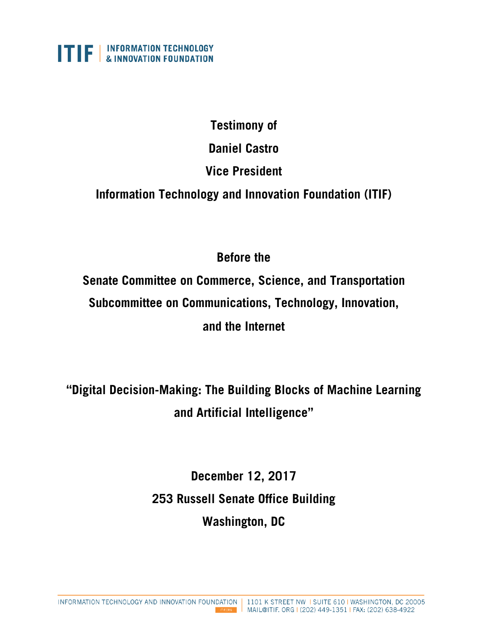

## **Testimony of**

**Daniel Castro** 

# **Vice President**

**Information Technology and Innovation Foundation (ITIF)**

# **Before the**

**Senate Committee on Commerce, Science, and Transportation Subcommittee on Communications, Technology, Innovation, and the Internet** 

**"Digital Decision-Making: The Building Blocks of Machine Learning and Artificial Intelligence"** 

> **December 12, 2017 253 Russell Senate Office Building Washington, DC**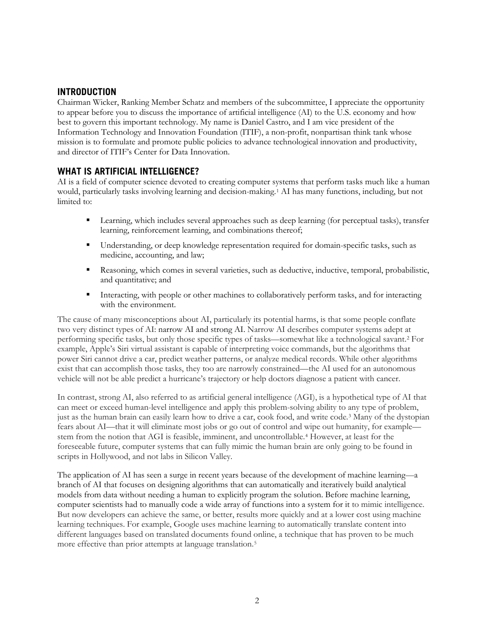### **INTRODUCTION**

Chairman Wicker, Ranking Member Schatz and members of the subcommittee, I appreciate the opportunity to appear before you to discuss the importance of artificial intelligence (AI) to the U.S. economy and how best to govern this important technology. My name is Daniel Castro, and I am vice president of the Information Technology and Innovation Foundation (ITIF), a non-profit, nonpartisan think tank whose mission is to formulate and promote public policies to advance technological innovation and productivity, and director of ITIF's Center for Data Innovation.

#### **WHAT IS ARTIFICIAL INTELLIGENCE?**

AI is a field of computer science devoted to creating computer systems that perform tasks much like a human would, particularly tasks involving learning and decision-making.[1](#page-7-0) AI has many functions, including, but not limited to:

- **Example 1** Learning, which includes several approaches such as deep learning (for perceptual tasks), transfer learning, reinforcement learning, and combinations thereof;
- Understanding, or deep knowledge representation required for domain-specific tasks, such as medicine, accounting, and law;
- Reasoning, which comes in several varieties, such as deductive, inductive, temporal, probabilistic, and quantitative; and
- Interacting, with people or other machines to collaboratively perform tasks, and for interacting with the environment.

The cause of many misconceptions about AI, particularly its potential harms, is that some people conflate two very distinct types of AI: narrow AI and strong AI. Narrow AI describes computer systems adept at performing specific tasks, but only those specific types of tasks—somewhat like a technological savant.[2](#page-7-1) For example, Apple's Siri virtual assistant is capable of interpreting voice commands, but the algorithms that power Siri cannot drive a car, predict weather patterns, or analyze medical records. While other algorithms exist that can accomplish those tasks, they too are narrowly constrained—the AI used for an autonomous vehicle will not be able predict a hurricane's trajectory or help doctors diagnose a patient with cancer.

In contrast, strong AI, also referred to as artificial general intelligence (AGI), is a hypothetical type of AI that can meet or exceed human-level intelligence and apply this problem-solving ability to any type of problem, just as the human brain can easily learn how to drive a car, cook food, and write code.[3](#page-7-2) Many of the dystopian fears about AI—that it will eliminate most jobs or go out of control and wipe out humanity, for example stem from the notion that AGI is feasible, imminent, and uncontrollable.[4](#page-7-3) However, at least for the foreseeable future, computer systems that can fully mimic the human brain are only going to be found in scripts in Hollywood, and not labs in Silicon Valley.

The application of AI has seen a surge in recent years because of the development of machine learning—a branch of AI that focuses on designing algorithms that can automatically and iteratively build analytical models from data without needing a human to explicitly program the solution. Before machine learning, computer scientists had to manually code a wide array of functions into a system for it to mimic intelligence. But now developers can achieve the same, or better, results more quickly and at a lower cost using machine learning techniques. For example, Google uses machine learning to automatically translate content into different languages based on translated documents found online, a technique that has proven to be much more effective than prior attempts at language translation.<sup>[5](#page-7-4)</sup>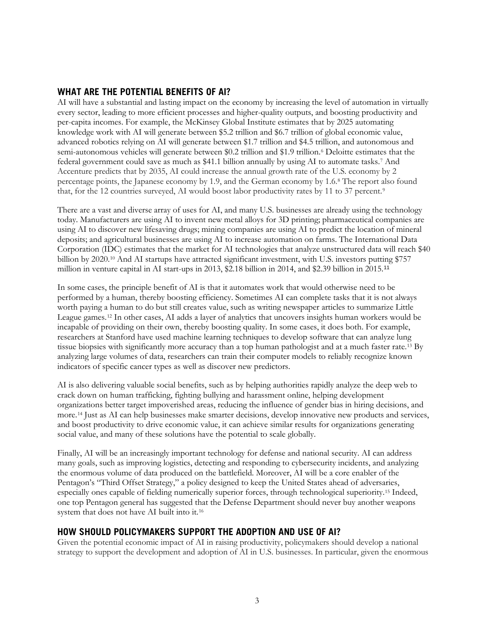## **WHAT ARE THE POTENTIAL BENEFITS OF AI?**

AI will have a substantial and lasting impact on the economy by increasing the level of automation in virtually every sector, leading to more efficient processes and higher-quality outputs, and boosting productivity and per-capita incomes. For example, the McKinsey Global Institute estimates that by 2025 automating knowledge work with AI will generate between \$5.2 trillion and \$6.7 trillion of global economic value, advanced robotics relying on AI will generate between \$1.7 trillion and \$4.5 trillion, and autonomous and semi-autonomous vehicles will generate between \$0.2 trillion and \$1.9 trillion.<sup>[6](#page-7-5)</sup> Deloitte estimates that the federal government could save as much as \$41.1 billion annually by using AI to automate tasks.[7](#page-7-6) And Accenture predicts that by 2035, AI could increase the annual growth rate of the U.S. economy by 2 percentage points, the Japanese economy by 1.9, and the German economy by 1.6.[8](#page-7-7) The report also found that, for the 12 countries surveyed, AI would boost labor productivity rates by 11 to 37 percent.[9](#page-7-8)

There are a vast and diverse array of uses for AI, and many U.S. businesses are already using the technology today. Manufacturers are using AI to invent new metal alloys for 3D printing; pharmaceutical companies are using AI to discover new lifesaving drugs; mining companies are using AI to predict the location of mineral deposits; and agricultural businesses are using AI to increase automation on farms. The International Data Corporation (IDC) estimates that the market for AI technologies that analyze unstructured data will reach \$40 billion by 2020.[10](#page-7-9) And AI startups have attracted significant investment, with U.S. investors putting \$757 million in venture capital in AI start-ups in 2013, \$2.18 billion in 2014, and \$2.39 billion in 2015.[11](#page-7-10)

In some cases, the principle benefit of AI is that it automates work that would otherwise need to be performed by a human, thereby boosting efficiency. Sometimes AI can complete tasks that it is not always worth paying a human to do but still creates value, such as writing newspaper articles to summarize Little League games.[12](#page-7-11) In other cases, AI adds a layer of analytics that uncovers insights human workers would be incapable of providing on their own, thereby boosting quality. In some cases, it does both. For example, researchers at Stanford have used machine learning techniques to develop software that can analyze lung tissue biopsies with significantly more accuracy than a top human pathologist and at a much faster rate.[13](#page-7-12) By analyzing large volumes of data, researchers can train their computer models to reliably recognize known indicators of specific cancer types as well as discover new predictors.

AI is also delivering valuable social benefits, such as by helping authorities rapidly analyze the deep web to crack down on human trafficking, fighting bullying and harassment online, helping development organizations better target impoverished areas, reducing the influence of gender bias in hiring decisions, and more.[14](#page-7-13) Just as AI can help businesses make smarter decisions, develop innovative new products and services, and boost productivity to drive economic value, it can achieve similar results for organizations generating social value, and many of these solutions have the potential to scale globally.

Finally, AI will be an increasingly important technology for defense and national security. AI can address many goals, such as improving logistics, detecting and responding to cybersecurity incidents, and analyzing the enormous volume of data produced on the battlefield. Moreover, AI will be a core enabler of the Pentagon's "Third Offset Strategy," a policy designed to keep the United States ahead of adversaries, especially ones capable of fielding numerically superior forces, through technological superiority.[15](#page-8-0) Indeed, one top Pentagon general has suggested that the Defense Department should never buy another weapons system that does not have AI built into it[.16](#page-8-1)

### **HOW SHOULD POLICYMAKERS SUPPORT THE ADOPTION AND USE OF AI?**

Given the potential economic impact of AI in raising productivity, policymakers should develop a national strategy to support the development and adoption of AI in U.S. businesses. In particular, given the enormous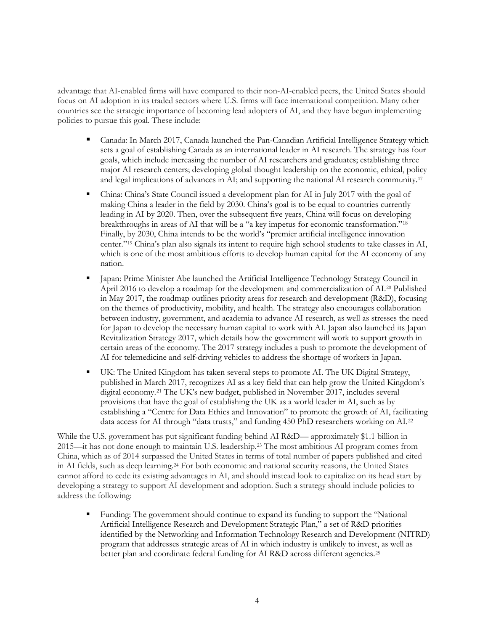advantage that AI-enabled firms will have compared to their non-AI-enabled peers, the United States should focus on AI adoption in its traded sectors where U.S. firms will face international competition. Many other countries see the strategic importance of becoming lead adopters of AI, and they have begun implementing policies to pursue this goal. These include:

- Canada: In March 2017, Canada launched the Pan-Canadian Artificial Intelligence Strategy which sets a goal of establishing Canada as an international leader in AI research. The strategy has four goals, which include increasing the number of AI researchers and graduates; establishing three major AI research centers; developing global thought leadership on the economic, ethical, policy and legal implications of advances in AI; and supporting the national AI research community.[17](#page-8-2)
- China: China's State Council issued a development plan for AI in July 2017 with the goal of making China a leader in the field by 2030. China's goal is to be equal to countries currently leading in AI by 2020. Then, over the subsequent five years, China will focus on developing breakthroughs in areas of AI that will be a "a key impetus for economic transformation."[18](#page-8-3) Finally, by 2030, China intends to be the world's "premier artificial intelligence innovation center."[19](#page-8-4) China's plan also signals its intent to require high school students to take classes in AI, which is one of the most ambitious efforts to develop human capital for the AI economy of any nation.
- **Japan: Prime Minister Abe launched the Artificial Intelligence Technology Strategy Council in** April 2016 to develop a roadmap for the development and commercialization of AI.[20](#page-8-5) Published in May 2017, the roadmap outlines priority areas for research and development (R&D), focusing on the themes of productivity, mobility, and health. The strategy also encourages collaboration between industry, government, and academia to advance AI research, as well as stresses the need for Japan to develop the necessary human capital to work with AI. Japan also launched its Japan Revitalization Strategy 2017, which details how the government will work to support growth in certain areas of the economy. The 2017 strategy includes a push to promote the development of AI for telemedicine and self-driving vehicles to address the shortage of workers in Japan.
- UK: The United Kingdom has taken several steps to promote AI. The UK Digital Strategy, published in March 2017, recognizes AI as a key field that can help grow the United Kingdom's digital economy.[21](#page-8-6) The UK's new budget, published in November 2017, includes several provisions that have the goal of establishing the UK as a world leader in AI, such as by establishing a "Centre for Data Ethics and Innovation" to promote the growth of AI, facilitating data access for AI through "data trusts," and funding 450 PhD researchers working on AI.[22](#page-8-7)

While the U.S. government has put significant funding behind AI R&D— approximately \$1.1 billion in 2015—it has not done enough to maintain U.S. leadership.[23](#page-8-8) The most ambitious AI program comes from China, which as of 2014 surpassed the United States in terms of total number of papers published and cited in AI fields, such as deep learning.[24](#page-8-9) For both economic and national security reasons, the United States cannot afford to cede its existing advantages in AI, and should instead look to capitalize on its head start by developing a strategy to support AI development and adoption. Such a strategy should include policies to address the following:

 Funding: The government should continue to expand its funding to support the "National Artificial Intelligence Research and Development Strategic Plan," a set of R&D priorities identified by the Networking and Information Technology Research and Development (NITRD) program that addresses strategic areas of AI in which industry is unlikely to invest, as well as better plan and coordinate federal funding for AI R&D across different agencies.[25](#page-8-10)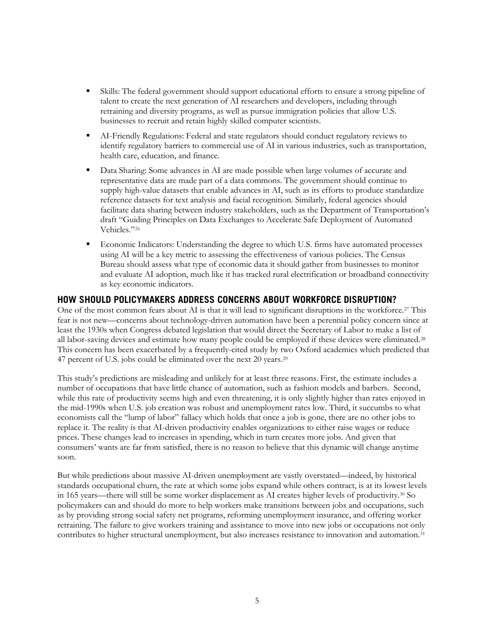- Skills: The federal government should support educational efforts to ensure a strong pipeline of talent to create the next generation of AI researchers and developers, including through retraining and diversity programs, as well as pursue immigration policies that allow U.S. businesses to recruit and retain highly skilled computer scientists.
- AI-Friendly Regulations: Federal and state regulators should conduct regulatory reviews to identify regulatory barriers to commercial use of AI in various industries, such as transportation, health care, education, and finance.
- **Data Sharing: Some advances in AI are made possible when large volumes of accurate and** representative data are made part of a data commons. The government should continue to supply high-value datasets that enable advances in AI, such as its efforts to produce standardize reference datasets for text analysis and facial recognition. Similarly, federal agencies should facilitate data sharing between industry stakeholders, such as the Department of Transportation's draft "Guiding Principles on Data Exchanges to Accelerate Safe Deployment of Automated Vehicles."[26](#page-8-11)
- Economic Indicators: Understanding the degree to which U.S. firms have automated processes using AI will be a key metric to assessing the effectiveness of various policies. The Census Bureau should assess what type of economic data it should gather from businesses to monitor and evaluate AI adoption, much like it has tracked rural electrification or broadband connectivity as key economic indicators.

#### **HOW SHOULD POLICYMAKERS ADDRESS CONCERNS ABOUT WORKFORCE DISRUPTION?**

One of the most common fears about AI is that it will lead to significant disruptions in the workforce[.27](#page-8-12) This fear is not new—concerns about technology-driven automation have been a perennial policy concern since at least the 1930s when Congress debated legislation that would direct the Secretary of Labor to make a list of all labor-saving devices and estimate how many people could be employed if these devices were eliminated.[28](#page-8-13) This concern has been exacerbated by a frequently-cited study by two Oxford academics which predicted that 47 percent of U.S. jobs could be eliminated over the next 20 years.<sup>[29](#page-8-14)</sup>

This study's predictions are misleading and unlikely for at least three reasons. First, the estimate includes a number of occupations that have little chance of automation, such as fashion models and barbers. Second, while this rate of productivity seems high and even threatening, it is only slightly higher than rates enjoyed in the mid-1990s when U.S. job creation was robust and unemployment rates low. Third, it succumbs to what economists call the "lump of labor" fallacy which holds that once a job is gone, there are no other jobs to replace it. The reality is that AI-driven productivity enables organizations to either raise wages or reduce prices. These changes lead to increases in spending, which in turn creates more jobs. And given that consumers' wants are far from satisfied, there is no reason to believe that this dynamic will change anytime soon.

But while predictions about massive AI-driven unemployment are vastly overstated—indeed, by historical standards occupational churn, the rate at which some jobs expand while others contract, is at its lowest levels in 165 years—there will still be some worker displacement as AI creates higher levels of productivity.[30](#page-8-15) So policymakers can and should do more to help workers make transitions between jobs and occupations, such as by providing strong social safety net programs, reforming unemployment insurance, and offering worker retraining. The failure to give workers training and assistance to move into new jobs or occupations not only contributes to higher structural unemployment, but also increases resistance to innovation and automation[.31](#page-9-0)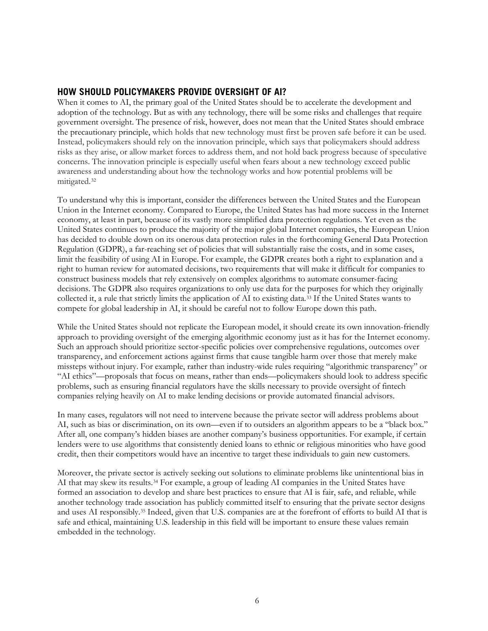## **HOW SHOULD POLICYMAKERS PROVIDE OVERSIGHT OF AI?**

When it comes to AI, the primary goal of the United States should be to accelerate the development and adoption of the technology. But as with any technology, there will be some risks and challenges that require government oversight. The presence of risk, however, does not mean that the United States should embrace the precautionary principle, which holds that new technology must first be proven safe before it can be used. Instead, policymakers should rely on the innovation principle, which says that policymakers should address risks as they arise, or allow market forces to address them, and not hold back progress because of speculative concerns. The innovation principle is especially useful when fears about a new technology exceed public awareness and understanding about how the technology works and how potential problems will be mitigated.[32](#page-9-1)

To understand why this is important, consider the differences between the United States and the European Union in the Internet economy. Compared to Europe, the United States has had more success in the Internet economy, at least in part, because of its vastly more simplified data protection regulations. Yet even as the United States continues to produce the majority of the major global Internet companies, the European Union has decided to double down on its onerous data protection rules in the forthcoming General Data Protection Regulation (GDPR), a far-reaching set of policies that will substantially raise the costs, and in some cases, limit the feasibility of using AI in Europe. For example, the GDPR creates both a right to explanation and a right to human review for automated decisions, two requirements that will make it difficult for companies to construct business models that rely extensively on complex algorithms to automate consumer-facing decisions. The GDPR also requires organizations to only use data for the purposes for which they originally collected it, a rule that strictly limits the application of AI to existing data.[33](#page-9-2) If the United States wants to compete for global leadership in AI, it should be careful not to follow Europe down this path.

While the United States should not replicate the European model, it should create its own innovation-friendly approach to providing oversight of the emerging algorithmic economy just as it has for the Internet economy. Such an approach should prioritize sector-specific policies over comprehensive regulations, outcomes over transparency, and enforcement actions against firms that cause tangible harm over those that merely make missteps without injury. For example, rather than industry-wide rules requiring "algorithmic transparency" or "AI ethics"—proposals that focus on means, rather than ends—policymakers should look to address specific problems, such as ensuring financial regulators have the skills necessary to provide oversight of fintech companies relying heavily on AI to make lending decisions or provide automated financial advisors.

In many cases, regulators will not need to intervene because the private sector will address problems about AI, such as bias or discrimination, on its own—even if to outsiders an algorithm appears to be a "black box." After all, one company's hidden biases are another company's business opportunities. For example, if certain lenders were to use algorithms that consistently denied loans to ethnic or religious minorities who have good credit, then their competitors would have an incentive to target these individuals to gain new customers.

Moreover, the private sector is actively seeking out solutions to eliminate problems like unintentional bias in AI that may skew its results.[34](#page-9-3) For example, a group of leading AI companies in the United States have formed an association to develop and share best practices to ensure that AI is fair, safe, and reliable, while another technology trade association has publicly committed itself to ensuring that the private sector designs and uses AI responsibly[.35](#page-9-4) Indeed, given that U.S. companies are at the forefront of efforts to build AI that is safe and ethical, maintaining U.S. leadership in this field will be important to ensure these values remain embedded in the technology.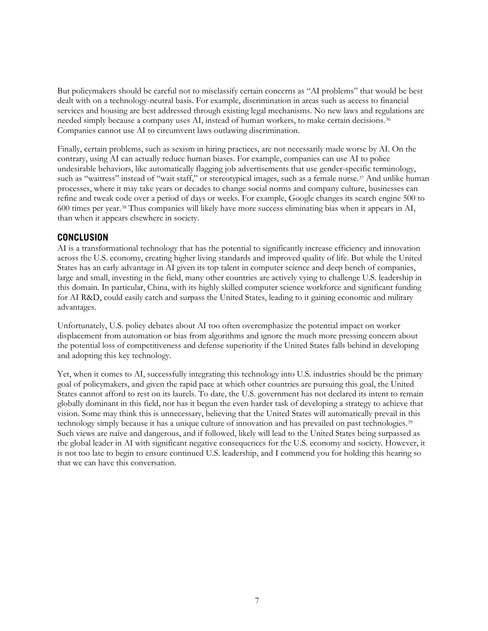But policymakers should be careful not to misclassify certain concerns as "AI problems" that would be best dealt with on a technology-neutral basis. For example, discrimination in areas such as access to financial services and housing are best addressed through existing legal mechanisms. No new laws and regulations are needed simply because a company uses AI, instead of human workers, to make certain decisions.[36](#page-9-5) Companies cannot use AI to circumvent laws outlawing discrimination.

Finally, certain problems, such as sexism in hiring practices, are not necessarily made worse by AI. On the contrary, using AI can actually reduce human biases. For example, companies can use AI to police undesirable behaviors, like automatically flagging job advertisements that use gender-specific terminology, such as "waitress" instead of "wait staff," or stereotypical images, such as a female nurse.<sup>[37](#page-9-6)</sup> And unlike human processes, where it may take years or decades to change social norms and company culture, businesses can refine and tweak code over a period of days or weeks. For example, Google changes its search engine 500 to 600 times per year.[38](#page-9-7) Thus companies will likely have more success eliminating bias when it appears in AI, than when it appears elsewhere in society.

#### **CONCLUSION**

AI is a transformational technology that has the potential to significantly increase efficiency and innovation across the U.S. economy, creating higher living standards and improved quality of life. But while the United States has an early advantage in AI given its top talent in computer science and deep bench of companies, large and small, investing in the field, many other countries are actively vying to challenge U.S. leadership in this domain. In particular, China, with its highly skilled computer science workforce and significant funding for AI R&D, could easily catch and surpass the United States, leading to it gaining economic and military advantages.

Unfortunately, U.S. policy debates about AI too often overemphasize the potential impact on worker displacement from automation or bias from algorithms and ignore the much more pressing concern about the potential loss of competitiveness and defense superiority if the United States falls behind in developing and adopting this key technology.

Yet, when it comes to AI, successfully integrating this technology into U.S. industries should be the primary goal of policymakers, and given the rapid pace at which other countries are pursuing this goal, the United States cannot afford to rest on its laurels. To date, the U.S. government has not declared its intent to remain globally dominant in this field, nor has it begun the even harder task of developing a strategy to achieve that vision. Some may think this is unnecessary, believing that the United States will automatically prevail in this technology simply because it has a unique culture of innovation and has prevailed on past technologies.[39](#page-9-8) Such views are naïve and dangerous, and if followed, likely will lead to the United States being surpassed as the global leader in AI with significant negative consequences for the U.S. economy and society. However, it is not too late to begin to ensure continued U.S. leadership, and I commend you for holding this hearing so that we can have this conversation.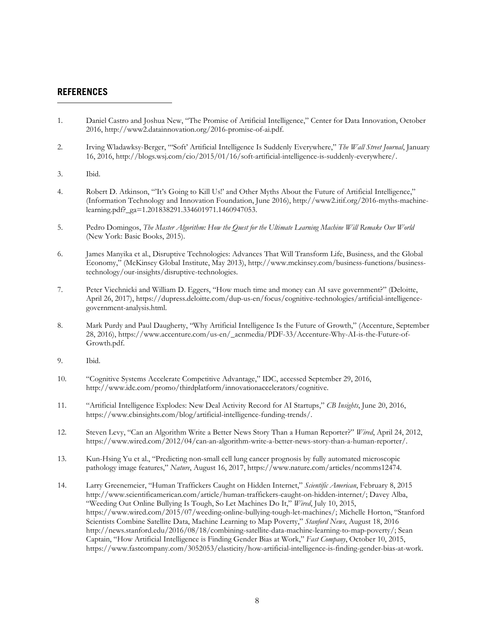#### **REFERENCES**

 $\overline{a}$ 

- <span id="page-7-0"></span>1. Daniel Castro and Joshua New, "The Promise of Artificial Intelligence," Center for Data Innovation, October 2016, http://www2.datainnovation.org/2016-promise-of-ai.pdf.
- <span id="page-7-1"></span>2. Irving Wladawksy-Berger, "'Soft' Artificial Intelligence Is Suddenly Everywhere," *The Wall Street Journal*, January 16, 2016, [http://blogs.wsj.com/cio/2015/01/16/soft-artificial-intelligence-is-suddenly-everywhere/.](http://blogs.wsj.com/cio/2015/01/16/soft-artificial-intelligence-is-suddenly-everywhere/)
- <span id="page-7-2"></span>3. Ibid.
- <span id="page-7-3"></span>4. Robert D. Atkinson, "'It's Going to Kill Us!' and Other Myths About the Future of Artificial Intelligence," (Information Technology and Innovation Foundation, June 2016)[, http://www2.itif.org/2016-myths-machine](http://www2.itif.org/2016-myths-machine-learning.pdf?_ga=1.201838291.334601971.1460947053)[learning.pdf?\\_ga=1.201838291.334601971.1460947053.](http://www2.itif.org/2016-myths-machine-learning.pdf?_ga=1.201838291.334601971.1460947053)
- <span id="page-7-4"></span>5. Pedro Domingos, *The Master Algorithm: How the Quest for the Ultimate Learning Machine Will Remake Our World*  (New York: Basic Books, 2015).
- <span id="page-7-5"></span>6. James Manyika et al., Disruptive Technologies: Advances That Will Transform Life, Business, and the Global Economy," (McKinsey Global Institute, May 2013), [http://www.mckinsey.com/business-functions/business](http://www.mckinsey.com/business-functions/business-technology/our-insights/disruptive-technologies)[technology/our-insights/disruptive-technologies.](http://www.mckinsey.com/business-functions/business-technology/our-insights/disruptive-technologies)
- <span id="page-7-6"></span>7. Peter Viechnicki and William D. Eggers, "How much time and money can AI save government?" (Deloitte, April 26, 2017)[, https://dupress.deloitte.com/dup-us-en/focus/cognitive-technologies/artificial-intelligence](https://dupress.deloitte.com/dup-us-en/focus/cognitive-technologies/artificial-intelligence-government-analysis.html)[government-analysis.html.](https://dupress.deloitte.com/dup-us-en/focus/cognitive-technologies/artificial-intelligence-government-analysis.html)
- <span id="page-7-7"></span>8. Mark Purdy and Paul Daugherty, "Why Artificial Intelligence Is the Future of Growth," (Accenture, September 28, 2016), [https://www.accenture.com/us-en/\\_acnmedia/PDF-33/Accenture-Why-AI-is-the-Future-of-](https://www.accenture.com/us-en/_acnmedia/PDF-33/Accenture-Why-AI-is-the-Future-of-Growth.pdf)[Growth.pdf.](https://www.accenture.com/us-en/_acnmedia/PDF-33/Accenture-Why-AI-is-the-Future-of-Growth.pdf)
- <span id="page-7-8"></span>9. Ibid.
- <span id="page-7-9"></span>10. "Cognitive Systems Accelerate Competitive Advantage," IDC, accessed September 29, 2016, [http://www.idc.com/promo/thirdplatform/innovationaccelerators/cognitive.](http://www.idc.com/promo/thirdplatform/innovationaccelerators/cognitive)
- <span id="page-7-10"></span>11. "Artificial Intelligence Explodes: New Deal Activity Record for AI Startups," *CB Insights*, June 20, 2016, [https://www.cbinsights.com/blog/artificial-intelligence-funding-trends/.](https://www.cbinsights.com/blog/artificial-intelligence-funding-trends/)
- <span id="page-7-11"></span>12. Steven Levy, "Can an Algorithm Write a Better News Story Than a Human Reporter?" *Wired*, April 24, 2012, https://www.wired.com/2012/04/can-an-algorithm-write-a-better-news-story-than-a-human-reporter/.
- <span id="page-7-12"></span>13. Kun-Hsing Yu et al., "Predicting non-small cell lung cancer prognosis by fully automated microscopic pathology image features," *Nature*, August 16, 2017, https://www.nature.com/articles/ncomms12474.
- <span id="page-7-13"></span>14. Larry Greenemeier, "Human Traffickers Caught on Hidden Internet," *Scientific American*, February 8, 2015 [http://www.scientificamerican.com/article/human-traffickers-caught-on-hidden-internet/;](http://www.scientificamerican.com/article/human-traffickers-caught-on-hidden-internet/) Davey Alba, "Weeding Out Online Bullying Is Tough, So Let Machines Do It," *Wired*, July 10, 2015, [https://www.wired.com/2015/07/weeding-online-bullying-tough-let-machines/;](https://www.wired.com/2015/07/weeding-online-bullying-tough-let-machines/) Michelle Horton, "Stanford Scientists Combine Satellite Data, Machine Learning to Map Poverty," *Stanford News*, August 18, 2016 [http://news.stanford.edu/2016/08/18/combining-satellite-data-machine-learning-to-map-poverty/;](http://news.stanford.edu/2016/08/18/combining-satellite-data-machine-learning-to-map-poverty/) Sean Captain, "How Artificial Intelligence is Finding Gender Bias at Work," *Fast Company*, October 10, 2015, [https://www.fastcompany.com/3052053/elasticity/how-artificial-intelligence-is-finding-gender-bias-at-work.](https://www.fastcompany.com/3052053/elasticity/how-artificial-intelligence-is-finding-gender-bias-at-work)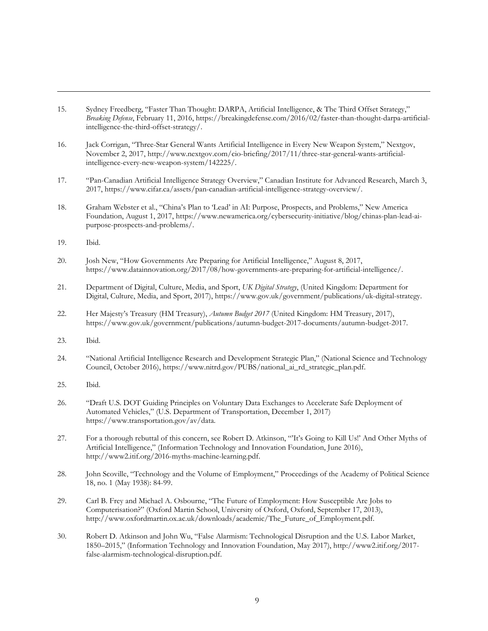- <span id="page-8-0"></span>15. Sydney Freedberg, "Faster Than Thought: DARPA, Artificial Intelligence, & The Third Offset Strategy," *Breaking Defense*, February 11, 2016, [https://breakingdefense.com/2016/02/faster-than-thought-darpa-artificial](https://breakingdefense.com/2016/02/faster-than-thought-darpa-artificial-intelligence-the-third-offset-strategy/)[intelligence-the-third-offset-strategy/.](https://breakingdefense.com/2016/02/faster-than-thought-darpa-artificial-intelligence-the-third-offset-strategy/)
- <span id="page-8-1"></span>16. Jack Corrigan, "Three-Star General Wants Artificial Intelligence in Every New Weapon System," Nextgov, November 2, 2017, http://www.nextgov.com/cio-briefing/2017/11/three-star-general-wants-artificialintelligence-every-new-weapon-system/142225/.
- <span id="page-8-2"></span>17. "Pan-Canadian Artificial Intelligence Strategy Overview," Canadian Institute for Advanced Research, March 3, 2017, https://www.cifar.ca/assets/pan-canadian-artificial-intelligence-strategy-overview/.
- <span id="page-8-3"></span>18. Graham Webster et al., "China's Plan to 'Lead' in AI: Purpose, Prospects, and Problems," New America Foundation, August 1, 2017, https://www.newamerica.org/cybersecurity-initiative/blog/chinas-plan-lead-aipurpose-prospects-and-problems/.
- <span id="page-8-4"></span>19. Ibid.

 $\ddot{\phantom{a}}$ 

- <span id="page-8-5"></span>20. Josh New, "How Governments Are Preparing for Artificial Intelligence," August 8, 2017, https://www.datainnovation.org/2017/08/how-governments-are-preparing-for-artificial-intelligence/.
- <span id="page-8-6"></span>21. Department of Digital, Culture, Media, and Sport, *UK Digital Strategy*, (United Kingdom: Department for Digital, Culture, Media, and Sport, 2017), https://www.gov.uk/government/publications/uk-digital-strategy.
- <span id="page-8-7"></span>22. Her Majesty's Treasury (HM Treasury), *Autumn Budget 2017* (United Kingdom: HM Treasury, 2017), https://www.gov.uk/government/publications/autumn-budget-2017-documents/autumn-budget-2017.
- <span id="page-8-8"></span>23. Ibid.
- <span id="page-8-9"></span>24. "National Artificial Intelligence Research and Development Strategic Plan," (National Science and Technology Council, October 2016), https://www.nitrd.gov/PUBS/national\_ai\_rd\_strategic\_plan.pdf.
- <span id="page-8-10"></span>25. Ibid.
- <span id="page-8-11"></span>26. "Draft U.S. DOT Guiding Principles on Voluntary Data Exchanges to Accelerate Safe Deployment of Automated Vehicles," (U.S. Department of Transportation, December 1, 2017) https://www.transportation.gov/av/data.
- <span id="page-8-12"></span>27. For a thorough rebuttal of this concern, see Robert D. Atkinson, "'It's Going to Kill Us!' And Other Myths of Artificial Intelligence," (Information Technology and Innovation Foundation, June 2016), http://www2.itif.org/2016-myths-machine-learning.pdf.
- <span id="page-8-13"></span>28. John Scoville, "Technology and the Volume of Employment," Proceedings of the Academy of Political Science 18, no. 1 (May 1938): 84-99.
- <span id="page-8-14"></span>29. Carl B. Frey and Michael A. Osbourne, "The Future of Employment: How Susceptible Are Jobs to Computerisation?" (Oxford Martin School, University of Oxford, Oxford, September 17, 2013), http://www.oxfordmartin.ox.ac.uk/downloads/academic/The\_Future\_of\_Employment.pdf.
- <span id="page-8-15"></span>30. Robert D. Atkinson and John Wu, "False Alarmism: Technological Disruption and the U.S. Labor Market, 1850–2015," (Information Technology and Innovation Foundation, May 2017), http://www2.itif.org/2017 false-alarmism-technological-disruption.pdf.